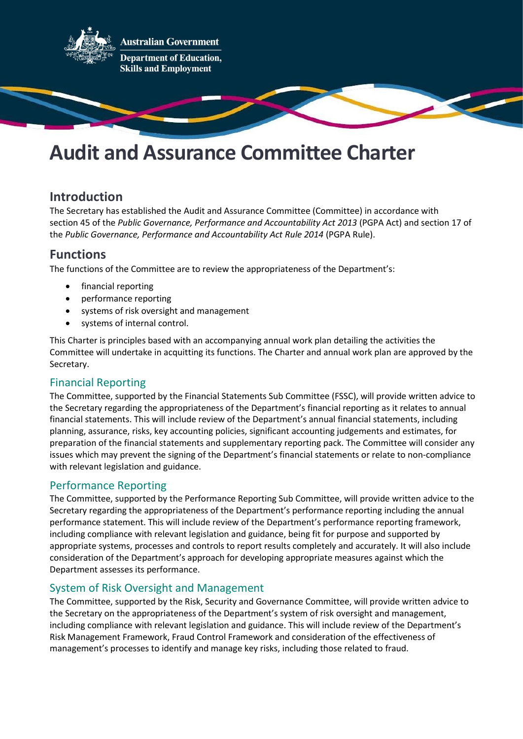

# Audit and Assurance Committee Charter

# Introduction

The Secretary has established the Audit and Assurance Committee (Committee) in accordance with section 45 of the Public Governance, Performance and Accountability Act 2013 (PGPA Act) and section 17 of the Public Governance, Performance and Accountability Act Rule 2014 (PGPA Rule).

# Functions

The functions of the Committee are to review the appropriateness of the Department's:

- financial reporting
- performance reporting
- systems of risk oversight and management
- systems of internal control.

This Charter is principles based with an accompanying annual work plan detailing the activities the Committee will undertake in acquitting its functions. The Charter and annual work plan are approved by the Secretary.

# Financial Reporting

The Committee, supported by the Financial Statements Sub Committee (FSSC), will provide written advice to the Secretary regarding the appropriateness of the Department's financial reporting as it relates to annual financial statements. This will include review of the Department's annual financial statements, including planning, assurance, risks, key accounting policies, significant accounting judgements and estimates, for preparation of the financial statements and supplementary reporting pack. The Committee will consider any issues which may prevent the signing of the Department's financial statements or relate to non-compliance with relevant legislation and guidance.

# Performance Reporting

The Committee, supported by the Performance Reporting Sub Committee, will provide written advice to the Secretary regarding the appropriateness of the Department's performance reporting including the annual performance statement. This will include review of the Department's performance reporting framework, including compliance with relevant legislation and guidance, being fit for purpose and supported by appropriate systems, processes and controls to report results completely and accurately. It will also include consideration of the Department's approach for developing appropriate measures against which the Department assesses its performance.

### System of Risk Oversight and Management

The Committee, supported by the Risk, Security and Governance Committee, will provide written advice to the Secretary on the appropriateness of the Department's system of risk oversight and management, including compliance with relevant legislation and guidance. This will include review of the Department's Risk Management Framework, Fraud Control Framework and consideration of the effectiveness of management's processes to identify and manage key risks, including those related to fraud.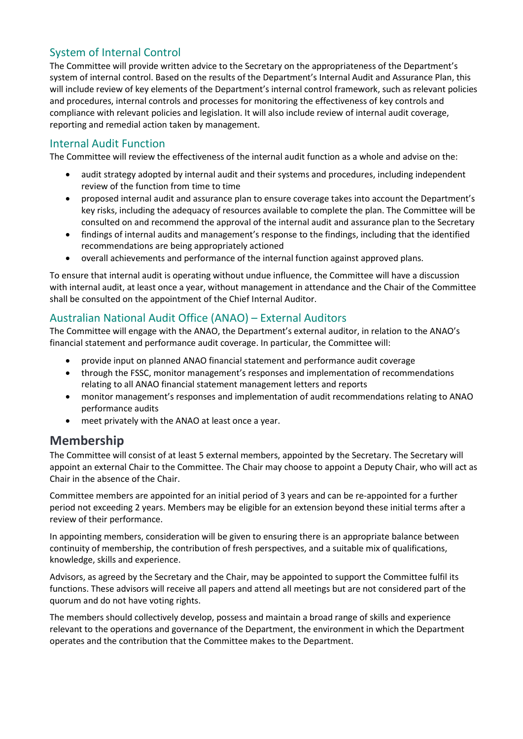# System of Internal Control

The Committee will provide written advice to the Secretary on the appropriateness of the Department's system of internal control. Based on the results of the Department's Internal Audit and Assurance Plan, this will include review of key elements of the Department's internal control framework, such as relevant policies and procedures, internal controls and processes for monitoring the effectiveness of key controls and compliance with relevant policies and legislation. It will also include review of internal audit coverage, reporting and remedial action taken by management.

# Internal Audit Function

The Committee will review the effectiveness of the internal audit function as a whole and advise on the:

- audit strategy adopted by internal audit and their systems and procedures, including independent review of the function from time to time
- proposed internal audit and assurance plan to ensure coverage takes into account the Department's key risks, including the adequacy of resources available to complete the plan. The Committee will be consulted on and recommend the approval of the internal audit and assurance plan to the Secretary
- findings of internal audits and management's response to the findings, including that the identified recommendations are being appropriately actioned
- overall achievements and performance of the internal function against approved plans.

To ensure that internal audit is operating without undue influence, the Committee will have a discussion with internal audit, at least once a year, without management in attendance and the Chair of the Committee shall be consulted on the appointment of the Chief Internal Auditor.

# Australian National Audit Office (ANAO) – External Auditors

The Committee will engage with the ANAO, the Department's external auditor, in relation to the ANAO's financial statement and performance audit coverage. In particular, the Committee will:

- provide input on planned ANAO financial statement and performance audit coverage
- through the FSSC, monitor management's responses and implementation of recommendations relating to all ANAO financial statement management letters and reports
- monitor management's responses and implementation of audit recommendations relating to ANAO performance audits
- meet privately with the ANAO at least once a year.

# Membership

The Committee will consist of at least 5 external members, appointed by the Secretary. The Secretary will appoint an external Chair to the Committee. The Chair may choose to appoint a Deputy Chair, who will act as Chair in the absence of the Chair.

Committee members are appointed for an initial period of 3 years and can be re-appointed for a further period not exceeding 2 years. Members may be eligible for an extension beyond these initial terms after a review of their performance.

In appointing members, consideration will be given to ensuring there is an appropriate balance between continuity of membership, the contribution of fresh perspectives, and a suitable mix of qualifications, knowledge, skills and experience.

Advisors, as agreed by the Secretary and the Chair, may be appointed to support the Committee fulfil its functions. These advisors will receive all papers and attend all meetings but are not considered part of the quorum and do not have voting rights.

The members should collectively develop, possess and maintain a broad range of skills and experience relevant to the operations and governance of the Department, the environment in which the Department operates and the contribution that the Committee makes to the Department.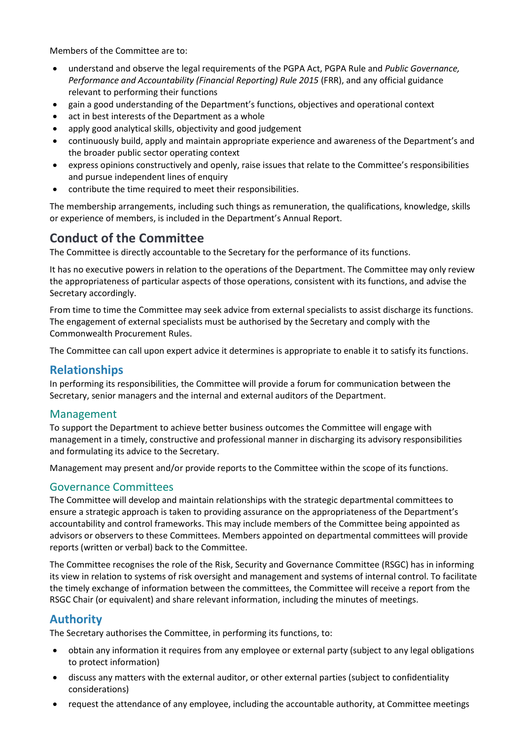Members of the Committee are to:

- understand and observe the legal requirements of the PGPA Act, PGPA Rule and Public Governance, Performance and Accountability (Financial Reporting) Rule 2015 (FRR), and any official guidance relevant to performing their functions
- gain a good understanding of the Department's functions, objectives and operational context
- act in best interests of the Department as a whole
- apply good analytical skills, objectivity and good judgement
- continuously build, apply and maintain appropriate experience and awareness of the Department's and the broader public sector operating context
- express opinions constructively and openly, raise issues that relate to the Committee's responsibilities and pursue independent lines of enquiry
- contribute the time required to meet their responsibilities.

The membership arrangements, including such things as remuneration, the qualifications, knowledge, skills or experience of members, is included in the Department's Annual Report.

# Conduct of the Committee

The Committee is directly accountable to the Secretary for the performance of its functions.

It has no executive powers in relation to the operations of the Department. The Committee may only review the appropriateness of particular aspects of those operations, consistent with its functions, and advise the Secretary accordingly.

From time to time the Committee may seek advice from external specialists to assist discharge its functions. The engagement of external specialists must be authorised by the Secretary and comply with the Commonwealth Procurement Rules.

The Committee can call upon expert advice it determines is appropriate to enable it to satisfy its functions.

# Relationships

In performing its responsibilities, the Committee will provide a forum for communication between the Secretary, senior managers and the internal and external auditors of the Department.

### Management

To support the Department to achieve better business outcomes the Committee will engage with management in a timely, constructive and professional manner in discharging its advisory responsibilities and formulating its advice to the Secretary.

Management may present and/or provide reports to the Committee within the scope of its functions.

### Governance Committees

The Committee will develop and maintain relationships with the strategic departmental committees to ensure a strategic approach is taken to providing assurance on the appropriateness of the Department's accountability and control frameworks. This may include members of the Committee being appointed as advisors or observers to these Committees. Members appointed on departmental committees will provide reports (written or verbal) back to the Committee.

The Committee recognises the role of the Risk, Security and Governance Committee (RSGC) has in informing its view in relation to systems of risk oversight and management and systems of internal control. To facilitate the timely exchange of information between the committees, the Committee will receive a report from the RSGC Chair (or equivalent) and share relevant information, including the minutes of meetings.

# Authority

The Secretary authorises the Committee, in performing its functions, to:

- obtain any information it requires from any employee or external party (subject to any legal obligations to protect information)
- discuss any matters with the external auditor, or other external parties (subject to confidentiality considerations)
- request the attendance of any employee, including the accountable authority, at Committee meetings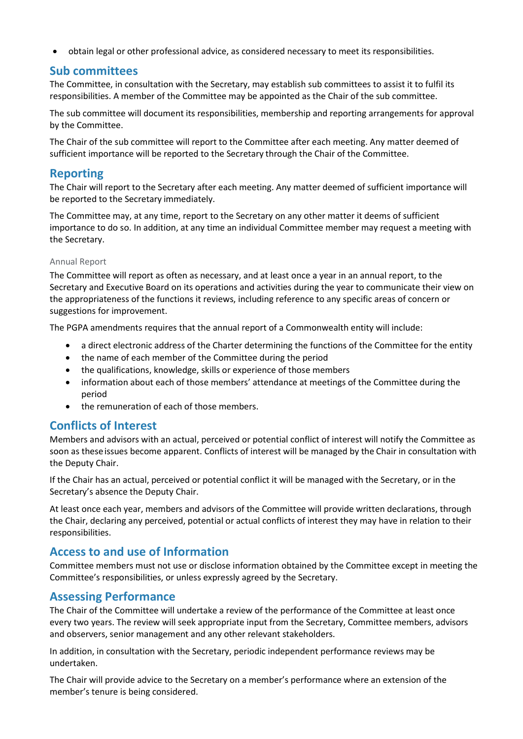obtain legal or other professional advice, as considered necessary to meet its responsibilities.

# Sub committees

The Committee, in consultation with the Secretary, may establish sub committees to assist it to fulfil its responsibilities. A member of the Committee may be appointed as the Chair of the sub committee.

The sub committee will document its responsibilities, membership and reporting arrangements for approval by the Committee.

The Chair of the sub committee will report to the Committee after each meeting. Any matter deemed of sufficient importance will be reported to the Secretary through the Chair of the Committee.

# Reporting

The Chair will report to the Secretary after each meeting. Any matter deemed of sufficient importance will be reported to the Secretary immediately.

The Committee may, at any time, report to the Secretary on any other matter it deems of sufficient importance to do so. In addition, at any time an individual Committee member may request a meeting with the Secretary.

#### Annual Report

The Committee will report as often as necessary, and at least once a year in an annual report, to the Secretary and Executive Board on its operations and activities during the year to communicate their view on the appropriateness of the functions it reviews, including reference to any specific areas of concern or suggestions for improvement.

The PGPA amendments requires that the annual report of a Commonwealth entity will include:

- a direct electronic address of the Charter determining the functions of the Committee for the entity
- the name of each member of the Committee during the period
- the qualifications, knowledge, skills or experience of those members
- information about each of those members' attendance at meetings of the Committee during the period
- the remuneration of each of those members.

# Conflicts of Interest

Members and advisors with an actual, perceived or potential conflict of interest will notify the Committee as soon as these issues become apparent. Conflicts of interest will be managed by the Chair in consultation with the Deputy Chair.

If the Chair has an actual, perceived or potential conflict it will be managed with the Secretary, or in the Secretary's absence the Deputy Chair.

At least once each year, members and advisors of the Committee will provide written declarations, through the Chair, declaring any perceived, potential or actual conflicts of interest they may have in relation to their responsibilities.

# Access to and use of Information

Committee members must not use or disclose information obtained by the Committee except in meeting the Committee's responsibilities, or unless expressly agreed by the Secretary.

# Assessing Performance

The Chair of the Committee will undertake a review of the performance of the Committee at least once every two years. The review will seek appropriate input from the Secretary, Committee members, advisors and observers, senior management and any other relevant stakeholders.

In addition, in consultation with the Secretary, periodic independent performance reviews may be undertaken.

The Chair will provide advice to the Secretary on a member's performance where an extension of the member's tenure is being considered.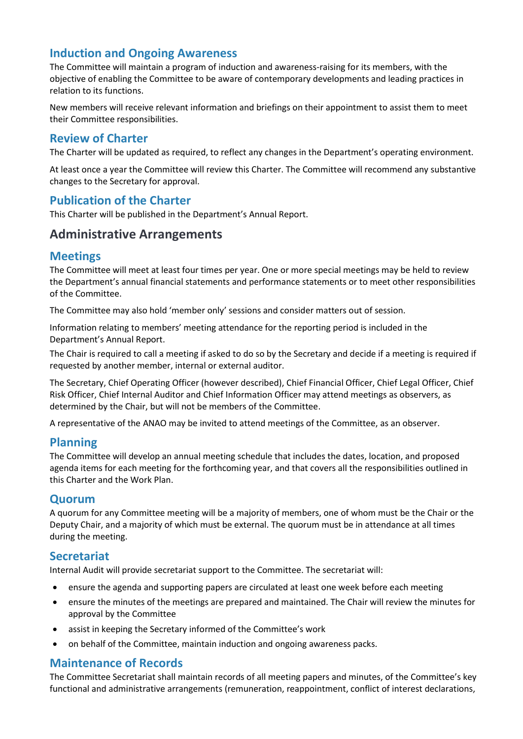# Induction and Ongoing Awareness

The Committee will maintain a program of induction and awareness-raising for its members, with the objective of enabling the Committee to be aware of contemporary developments and leading practices in relation to its functions.

New members will receive relevant information and briefings on their appointment to assist them to meet their Committee responsibilities.

### Review of Charter

The Charter will be updated as required, to reflect any changes in the Department's operating environment.

At least once a year the Committee will review this Charter. The Committee will recommend any substantive changes to the Secretary for approval.

# Publication of the Charter

This Charter will be published in the Department's Annual Report.

# Administrative Arrangements

### Meetings

The Committee will meet at least four times per year. One or more special meetings may be held to review the Department's annual financial statements and performance statements or to meet other responsibilities of the Committee.

The Committee may also hold 'member only' sessions and consider matters out of session.

Information relating to members' meeting attendance for the reporting period is included in the Department's Annual Report.

The Chair is required to call a meeting if asked to do so by the Secretary and decide if a meeting is required if requested by another member, internal or external auditor.

The Secretary, Chief Operating Officer (however described), Chief Financial Officer, Chief Legal Officer, Chief Risk Officer, Chief Internal Auditor and Chief Information Officer may attend meetings as observers, as determined by the Chair, but will not be members of the Committee.

A representative of the ANAO may be invited to attend meetings of the Committee, as an observer.

### Planning

The Committee will develop an annual meeting schedule that includes the dates, location, and proposed agenda items for each meeting for the forthcoming year, and that covers all the responsibilities outlined in this Charter and the Work Plan.

#### **Quorum**

A quorum for any Committee meeting will be a majority of members, one of whom must be the Chair or the Deputy Chair, and a majority of which must be external. The quorum must be in attendance at all times during the meeting.

### Secretariat

Internal Audit will provide secretariat support to the Committee. The secretariat will:

- ensure the agenda and supporting papers are circulated at least one week before each meeting
- ensure the minutes of the meetings are prepared and maintained. The Chair will review the minutes for approval by the Committee
- assist in keeping the Secretary informed of the Committee's work
- on behalf of the Committee, maintain induction and ongoing awareness packs.

### Maintenance of Records

The Committee Secretariat shall maintain records of all meeting papers and minutes, of the Committee's key functional and administrative arrangements (remuneration, reappointment, conflict of interest declarations,